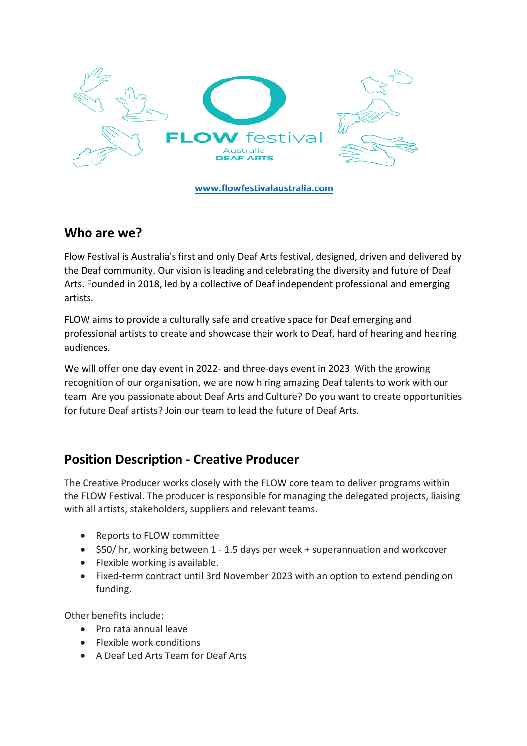

**www.flowfestivalaustralia.com**

#### **Who are we?**

Flow Festival is Australia's first and only Deaf Arts festival, designed, driven and delivered by the Deaf community. Our vision is leading and celebrating the diversity and future of Deaf Arts. Founded in 2018, led by a collective of Deaf independent professional and emerging artists.

FLOW aims to provide a culturally safe and creative space for Deaf emerging and professional artists to create and showcase their work to Deaf, hard of hearing and hearing audiences.

We will offer one day event in 2022- and three-days event in 2023. With the growing recognition of our organisation, we are now hiring amazing Deaf talents to work with our team. Are you passionate about Deaf Arts and Culture? Do you want to create opportunities for future Deaf artists? Join our team to lead the future of Deaf Arts.

## **Position Description - Creative Producer**

The Creative Producer works closely with the FLOW core team to deliver programs within the FLOW Festival. The producer is responsible for managing the delegated projects, liaising with all artists, stakeholders, suppliers and relevant teams.

- Reports to FLOW committee
- \$50/ hr, working between 1 1.5 days per week + superannuation and workcover
- Flexible working is available.
- Fixed-term contract until 3rd November 2023 with an option to extend pending on funding.

Other benefits include:

- Pro rata annual leave
- Flexible work conditions
- A Deaf Led Arts Team for Deaf Arts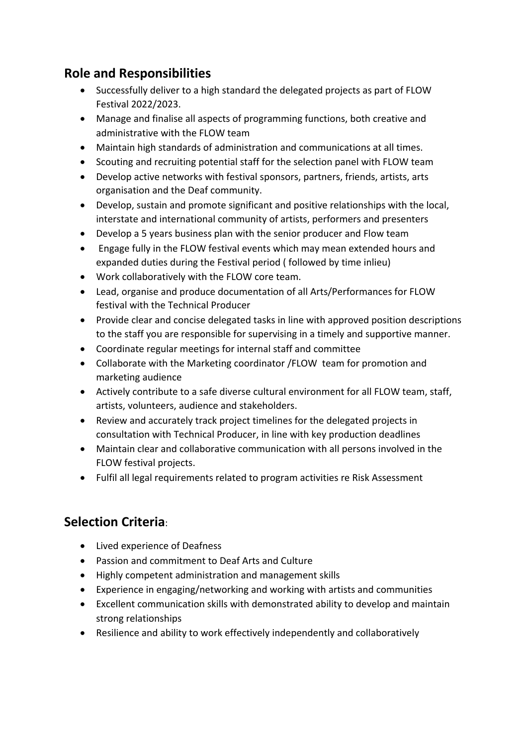# **Role and Responsibilities**

- Successfully deliver to a high standard the delegated projects as part of FLOW Festival 2022/2023.
- Manage and finalise all aspects of programming functions, both creative and administrative with the FLOW team
- Maintain high standards of administration and communications at all times.
- Scouting and recruiting potential staff for the selection panel with FLOW team
- Develop active networks with festival sponsors, partners, friends, artists, arts organisation and the Deaf community.
- Develop, sustain and promote significant and positive relationships with the local, interstate and international community of artists, performers and presenters
- Develop a 5 years business plan with the senior producer and Flow team
- Engage fully in the FLOW festival events which may mean extended hours and expanded duties during the Festival period ( followed by time inlieu)
- Work collaboratively with the FLOW core team.
- Lead, organise and produce documentation of all Arts/Performances for FLOW festival with the Technical Producer
- Provide clear and concise delegated tasks in line with approved position descriptions to the staff you are responsible for supervising in a timely and supportive manner.
- Coordinate regular meetings for internal staff and committee
- Collaborate with the Marketing coordinator /FLOW team for promotion and marketing audience
- Actively contribute to a safe diverse cultural environment for all FLOW team, staff, artists, volunteers, audience and stakeholders.
- Review and accurately track project timelines for the delegated projects in consultation with Technical Producer, in line with key production deadlines
- Maintain clear and collaborative communication with all persons involved in the FLOW festival projects.
- Fulfil all legal requirements related to program activities re Risk Assessment

# **Selection Criteria**:

- Lived experience of Deafness
- Passion and commitment to Deaf Arts and Culture
- Highly competent administration and management skills
- Experience in engaging/networking and working with artists and communities
- Excellent communication skills with demonstrated ability to develop and maintain strong relationships
- Resilience and ability to work effectively independently and collaboratively